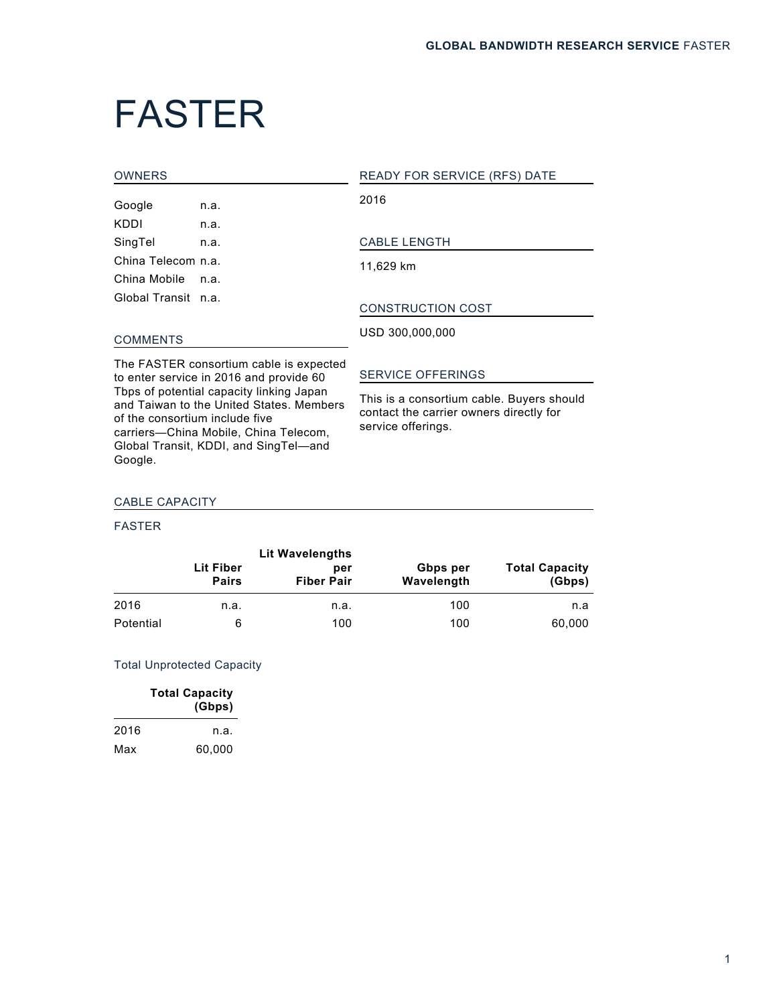# FASTER

| <b>OWNERS</b>                                                                      |      | <b>READY FOR SERVICE (RFS) DATE</b> |  |
|------------------------------------------------------------------------------------|------|-------------------------------------|--|
| Google                                                                             | n.a. | 2016                                |  |
| KDDI                                                                               | n.a. |                                     |  |
| SingTel                                                                            | n.a. | <b>CABLE LENGTH</b>                 |  |
| China Telecom n.a.                                                                 |      | 11,629 km                           |  |
| China Mobile                                                                       | n.a. |                                     |  |
| Global Transit n.a.                                                                |      | <b>CONSTRUCTION COST</b>            |  |
| <b>COMMENTS</b>                                                                    |      | USD 300,000,000                     |  |
| The FASTER consortium cable is expected<br>to enter service in 2016 and provide 60 |      | <b>SERVICE OFFERINGS</b>            |  |

Tbps of potential capacity linking Japan and Taiwan to the United States. Members of the consortium include five carriers—China Mobile, China Telecom, Global Transit, KDDI, and SingTel—and Google.

This is a consortium cable. Buyers should contact the carrier owners directly for service offerings.

### CABLE CAPACITY

#### FASTER

|           |                                  | <b>Lit Wavelengths</b>   |                        |                                 |
|-----------|----------------------------------|--------------------------|------------------------|---------------------------------|
|           | <b>Lit Fiber</b><br><b>Pairs</b> | per<br><b>Fiber Pair</b> | Gbps per<br>Wavelength | <b>Total Capacity</b><br>(Gbps) |
| 2016      | n.a.                             | n.a.                     | 100                    | n.a                             |
| Potential | 6                                | 100                      | 100                    | 60,000                          |

#### Total Unprotected Capacity

|      | <b>Total Capacity</b><br>(Gbps) |  |  |
|------|---------------------------------|--|--|
| 2016 | n.a.                            |  |  |
| Max  | 60.000                          |  |  |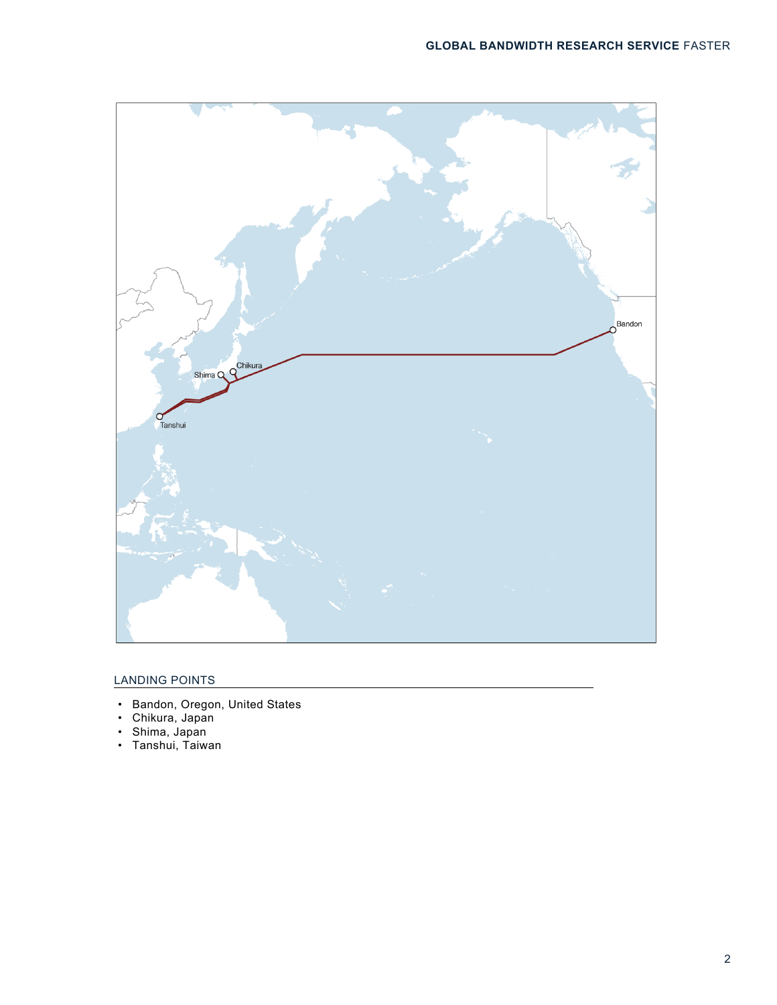

## LANDING POINTS

- Bandon, Oregon, United States
- Chikura, Japan
- Shima, Japan
- Tanshui, Taiwan